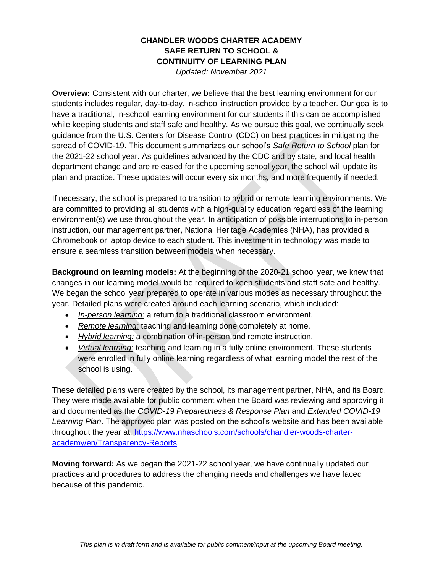## **CHANDLER WOODS CHARTER ACADEMY SAFE RETURN TO SCHOOL & CONTINUITY OF LEARNING PLAN**

*Updated: November 2021*

**Overview:** Consistent with our charter, we believe that the best learning environment for our students includes regular, day-to-day, in-school instruction provided by a teacher. Our goal is to have a traditional, in-school learning environment for our students if this can be accomplished while keeping students and staff safe and healthy. As we pursue this goal, we continually seek guidance from the U.S. Centers for Disease Control (CDC) on best practices in mitigating the spread of COVID-19. This document summarizes our school's *Safe Return to School* plan for the 2021-22 school year. As guidelines advanced by the CDC and by state, and local health department change and are released for the upcoming school year, the school will update its plan and practice. These updates will occur every six months, and more frequently if needed.

If necessary, the school is prepared to transition to hybrid or remote learning environments. We are committed to providing all students with a high-quality education regardless of the learning environment(s) we use throughout the year. In anticipation of possible interruptions to in-person instruction, our management partner, National Heritage Academies (NHA), has provided a Chromebook or laptop device to each student. This investment in technology was made to ensure a seamless transition between models when necessary.

**Background on learning models:** At the beginning of the 2020-21 school year, we knew that changes in our learning model would be required to keep students and staff safe and healthy. We began the school year prepared to operate in various modes as necessary throughout the year. Detailed plans were created around each learning scenario, which included:

- *In-person learning:* a return to a traditional classroom environment.
- *Remote learning:* teaching and learning done completely at home.
- *Hybrid learning:* a combination of in-person and remote instruction.
- *Virtual learning:* teaching and learning in a fully online environment. These students were enrolled in fully online learning regardless of what learning model the rest of the school is using.

These detailed plans were created by the school, its management partner, NHA, and its Board. They were made available for public comment when the Board was reviewing and approving it and documented as the *COVID-19 Preparedness & Response Plan* and *Extended COVID-19 Learning Plan*. The approved plan was posted on the school's website and has been available throughout the year at: [https://www.nhaschools.com/schools/chandler-woods-charter](https://www.nhaschools.com/schools/chandler-woods-charter-academy/en/Transparency-Reports)[academy/en/Transparency-Reports](https://www.nhaschools.com/schools/chandler-woods-charter-academy/en/Transparency-Reports)

**Moving forward:** As we began the 2021-22 school year, we have continually updated our practices and procedures to address the changing needs and challenges we have faced because of this pandemic.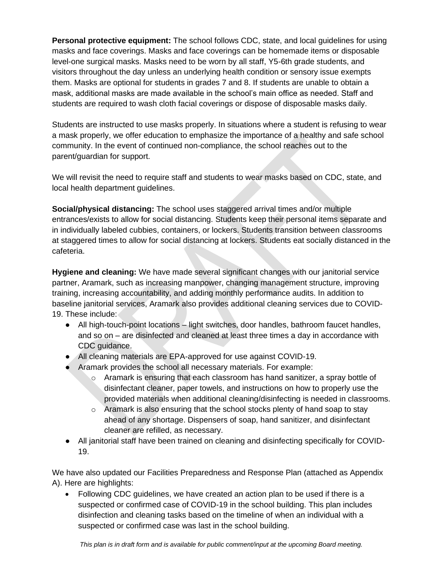**Personal protective equipment:** The school follows CDC, state, and local guidelines for using masks and face coverings. Masks and face coverings can be homemade items or disposable level-one surgical masks. Masks need to be worn by all staff, Y5-6th grade students, and visitors throughout the day unless an underlying health condition or sensory issue exempts them. Masks are optional for students in grades 7 and 8. If students are unable to obtain a mask, additional masks are made available in the school's main office as needed. Staff and students are required to wash cloth facial coverings or dispose of disposable masks daily.

Students are instructed to use masks properly. In situations where a student is refusing to wear a mask properly, we offer education to emphasize the importance of a healthy and safe school community. In the event of continued non-compliance, the school reaches out to the parent/guardian for support.

We will revisit the need to require staff and students to wear masks based on CDC, state, and local health department guidelines.

**Social/physical distancing:** The school uses staggered arrival times and/or multiple entrances/exists to allow for social distancing. Students keep their personal items separate and in individually labeled cubbies, containers, or lockers. Students transition between classrooms at staggered times to allow for social distancing at lockers. Students eat socially distanced in the cafeteria.

**Hygiene and cleaning:** We have made several significant changes with our janitorial service partner, Aramark, such as increasing manpower, changing management structure, improving training, increasing accountability, and adding monthly performance audits. In addition to baseline janitorial services, Aramark also provides additional cleaning services due to COVID-19. These include:

- All high-touch-point locations light switches, door handles, bathroom faucet handles, and so on – are disinfected and cleaned at least three times a day in accordance with CDC guidance.
- All cleaning materials are EPA-approved for use against COVID-19.
- Aramark provides the school all necessary materials. For example:
	- $\circ$  Aramark is ensuring that each classroom has hand sanitizer, a spray bottle of disinfectant cleaner, paper towels, and instructions on how to properly use the provided materials when additional cleaning/disinfecting is needed in classrooms.
	- $\circ$  Aramark is also ensuring that the school stocks plenty of hand soap to stay ahead of any shortage. Dispensers of soap, hand sanitizer, and disinfectant cleaner are refilled, as necessary.
- All janitorial staff have been trained on cleaning and disinfecting specifically for COVID-19.

We have also updated our Facilities Preparedness and Response Plan (attached as Appendix A). Here are highlights:

• Following CDC guidelines, we have created an action plan to be used if there is a suspected or confirmed case of COVID-19 in the school building. This plan includes disinfection and cleaning tasks based on the timeline of when an individual with a suspected or confirmed case was last in the school building.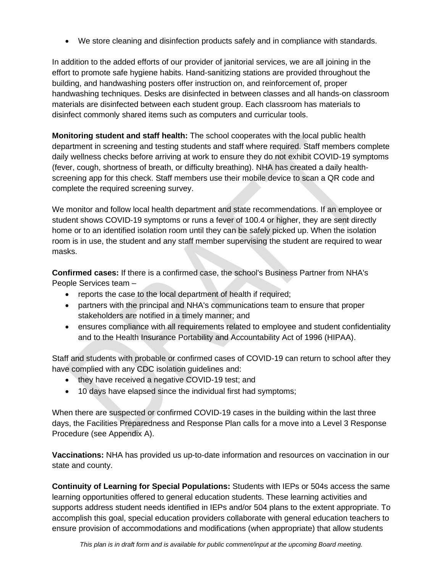• We store cleaning and disinfection products safely and in compliance with standards.

In addition to the added efforts of our provider of janitorial services, we are all joining in the effort to promote safe hygiene habits. Hand-sanitizing stations are provided throughout the building, and handwashing posters offer instruction on, and reinforcement of, proper handwashing techniques. Desks are disinfected in between classes and all hands-on classroom materials are disinfected between each student group. Each classroom has materials to disinfect commonly shared items such as computers and curricular tools.

**Monitoring student and staff health:** The school cooperates with the local public health department in screening and testing students and staff where required. Staff members complete daily wellness checks before arriving at work to ensure they do not exhibit COVID-19 symptoms (fever, cough, shortness of breath, or difficulty breathing). NHA has created a daily healthscreening app for this check. Staff members use their mobile device to scan a QR code and complete the required screening survey.

We monitor and follow local health department and state recommendations. If an employee or student shows COVID-19 symptoms or runs a fever of 100.4 or higher, they are sent directly home or to an identified isolation room until they can be safely picked up. When the isolation room is in use, the student and any staff member supervising the student are required to wear masks.

**Confirmed cases:** If there is a confirmed case, the school's Business Partner from NHA's People Services team –

- reports the case to the local department of health if required;
- partners with the principal and NHA's communications team to ensure that proper stakeholders are notified in a timely manner; and
- ensures compliance with all requirements related to employee and student confidentiality and to the Health Insurance Portability and Accountability Act of 1996 (HIPAA).

Staff and students with probable or confirmed cases of COVID-19 can return to school after they have complied with any CDC isolation guidelines and:

- they have received a negative COVID-19 test; and
- 10 days have elapsed since the individual first had symptoms;

When there are suspected or confirmed COVID-19 cases in the building within the last three days, the Facilities Preparedness and Response Plan calls for a move into a Level 3 Response Procedure (see Appendix A).

**Vaccinations:** NHA has provided us up-to-date information and resources on vaccination in our state and county.

**Continuity of Learning for Special Populations:** Students with IEPs or 504s access the same learning opportunities offered to general education students. These learning activities and supports address student needs identified in IEPs and/or 504 plans to the extent appropriate. To accomplish this goal, special education providers collaborate with general education teachers to ensure provision of accommodations and modifications (when appropriate) that allow students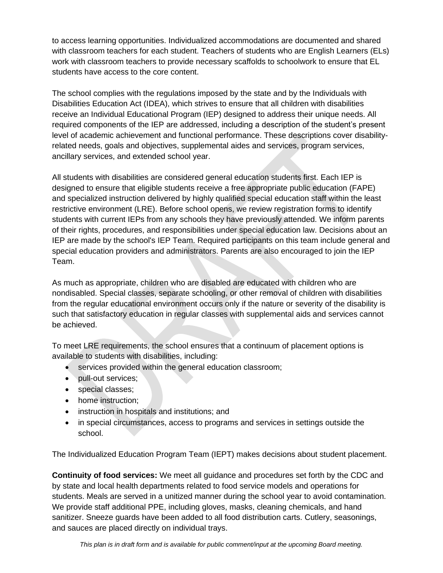to access learning opportunities. Individualized accommodations are documented and shared with classroom teachers for each student. Teachers of students who are English Learners (ELs) work with classroom teachers to provide necessary scaffolds to schoolwork to ensure that EL students have access to the core content.

The school complies with the regulations imposed by the state and by the Individuals with Disabilities Education Act (IDEA), which strives to ensure that all children with disabilities receive an Individual Educational Program (IEP) designed to address their unique needs. All required components of the IEP are addressed, including a description of the student's present level of academic achievement and functional performance. These descriptions cover disabilityrelated needs, goals and objectives, supplemental aides and services, program services, ancillary services, and extended school year.

All students with disabilities are considered general education students first. Each IEP is designed to ensure that eligible students receive a free appropriate public education (FAPE) and specialized instruction delivered by highly qualified special education staff within the least restrictive environment (LRE). Before school opens, we review registration forms to identify students with current IEPs from any schools they have previously attended. We inform parents of their rights, procedures, and responsibilities under special education law. Decisions about an IEP are made by the school's IEP Team. Required participants on this team include general and special education providers and administrators. Parents are also encouraged to join the IEP Team.

As much as appropriate, children who are disabled are educated with children who are nondisabled. Special classes, separate schooling, or other removal of children with disabilities from the regular educational environment occurs only if the nature or severity of the disability is such that satisfactory education in regular classes with supplemental aids and services cannot be achieved.

To meet LRE requirements, the school ensures that a continuum of placement options is available to students with disabilities, including:

- services provided within the general education classroom;
- pull-out services;
- special classes;
- home instruction;
- instruction in hospitals and institutions; and
- in special circumstances, access to programs and services in settings outside the school.

The Individualized Education Program Team (IEPT) makes decisions about student placement.

**Continuity of food services:** We meet all guidance and procedures set forth by the CDC and by state and local health departments related to food service models and operations for students. Meals are served in a unitized manner during the school year to avoid contamination. We provide staff additional PPE, including gloves, masks, cleaning chemicals, and hand sanitizer. Sneeze guards have been added to all food distribution carts. Cutlery, seasonings, and sauces are placed directly on individual trays.